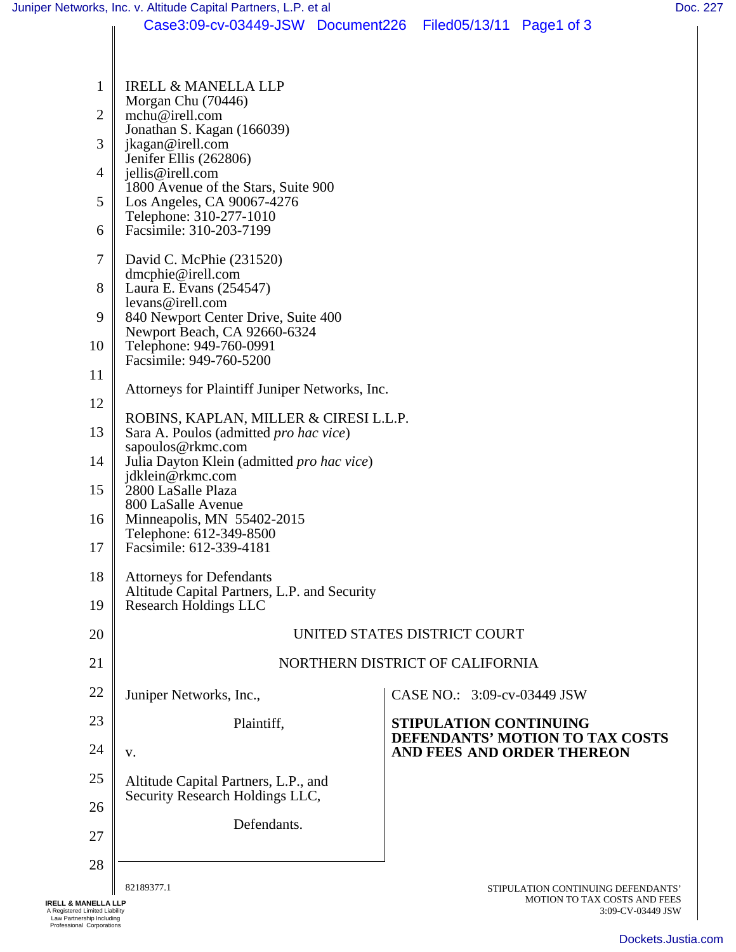|                | Case3:09-cv-03449-JSW Document226 Filed05/13/11 Page1 of 3                                                                                                                |  |                                                                                         |                                                                    |  |
|----------------|---------------------------------------------------------------------------------------------------------------------------------------------------------------------------|--|-----------------------------------------------------------------------------------------|--------------------------------------------------------------------|--|
|                |                                                                                                                                                                           |  |                                                                                         |                                                                    |  |
| 1              | <b>IRELL &amp; MANELLA LLP</b>                                                                                                                                            |  |                                                                                         |                                                                    |  |
| $\overline{2}$ | Morgan Chu (70446)<br>mchu@irell.com                                                                                                                                      |  |                                                                                         |                                                                    |  |
| 3              | Jonathan S. Kagan (166039)<br>jkagan@irell.com                                                                                                                            |  |                                                                                         |                                                                    |  |
| 4              | Jenifer Ellis (262806)<br>jellis@irell.com                                                                                                                                |  |                                                                                         |                                                                    |  |
| 5              | 1800 Avenue of the Stars, Suite 900<br>Los Angeles, CA 90067-4276                                                                                                         |  |                                                                                         |                                                                    |  |
| 6              | Telephone: 310-277-1010<br>Facsimile: 310-203-7199                                                                                                                        |  |                                                                                         |                                                                    |  |
| 7              | David C. McPhie (231520)                                                                                                                                                  |  |                                                                                         |                                                                    |  |
| 8              | dmcphie@irell.com<br>Laura E. Evans (254547)                                                                                                                              |  |                                                                                         |                                                                    |  |
| 9              | levans@irell.com<br>840 Newport Center Drive, Suite 400                                                                                                                   |  |                                                                                         |                                                                    |  |
| 10             | Newport Beach, CA 92660-6324<br>Telephone: 949-760-0991<br>Facsimile: 949-760-5200<br>Attorneys for Plaintiff Juniper Networks, Inc.                                      |  |                                                                                         |                                                                    |  |
| 11             |                                                                                                                                                                           |  |                                                                                         |                                                                    |  |
| 12             |                                                                                                                                                                           |  |                                                                                         |                                                                    |  |
| 13             | ROBINS, KAPLAN, MILLER & CIRESI L.L.P.                                                                                                                                    |  |                                                                                         |                                                                    |  |
|                | Sara A. Poulos (admitted pro hac vice)<br>sapoulos@rkmc.com<br>Julia Dayton Klein (admitted pro hac vice)<br>jdklein@rkmc.com<br>2800 LaSalle Plaza<br>800 LaSalle Avenue |  |                                                                                         |                                                                    |  |
| 14             |                                                                                                                                                                           |  |                                                                                         |                                                                    |  |
| 15             |                                                                                                                                                                           |  |                                                                                         |                                                                    |  |
| 16             | Minneapolis, MN 55402-2015<br>Telephone: 612-349-8500                                                                                                                     |  |                                                                                         |                                                                    |  |
| 17             | Facsimile: 612-339-4181                                                                                                                                                   |  |                                                                                         |                                                                    |  |
| 18             | <b>Attorneys for Defendants</b><br>Altitude Capital Partners, L.P. and Security                                                                                           |  |                                                                                         |                                                                    |  |
| 19             | <b>Research Holdings LLC</b>                                                                                                                                              |  |                                                                                         |                                                                    |  |
| 20             | UNITED STATES DISTRICT COURT                                                                                                                                              |  |                                                                                         |                                                                    |  |
| 21             | NORTHERN DISTRICT OF CALIFORNIA                                                                                                                                           |  |                                                                                         |                                                                    |  |
| 22             | Juniper Networks, Inc.,                                                                                                                                                   |  | CASE NO.: 3:09-cv-03449 JSW                                                             |                                                                    |  |
| 23             | Plaintiff,                                                                                                                                                                |  | STIPULATION CONTINUING<br>DEFENDANTS' MOTION TO TAX COSTS<br>AND FEES AND ORDER THEREON |                                                                    |  |
| 24             | V.                                                                                                                                                                        |  |                                                                                         |                                                                    |  |
| 25             | Altitude Capital Partners, L.P., and<br>Security Research Holdings LLC,                                                                                                   |  |                                                                                         |                                                                    |  |
| 26             | Defendants.                                                                                                                                                               |  |                                                                                         |                                                                    |  |
| 27             |                                                                                                                                                                           |  |                                                                                         |                                                                    |  |
| 28             |                                                                                                                                                                           |  |                                                                                         |                                                                    |  |
|                | 82189377.1                                                                                                                                                                |  |                                                                                         | STIPULATION CONTINUING DEFENDANTS'<br>MOTION TO TAX COSTS AND FEES |  |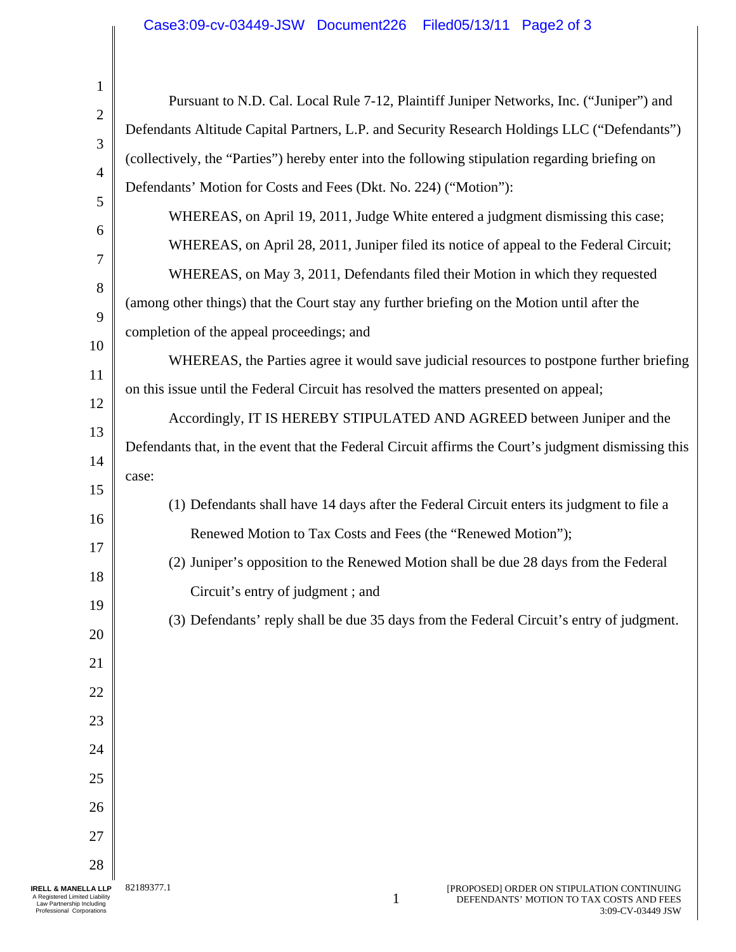| 1              |                                                                                                     |  |  |  |
|----------------|-----------------------------------------------------------------------------------------------------|--|--|--|
| $\mathbf{2}$   | Pursuant to N.D. Cal. Local Rule 7-12, Plaintiff Juniper Networks, Inc. ("Juniper") and             |  |  |  |
| 3              | Defendants Altitude Capital Partners, L.P. and Security Research Holdings LLC ("Defendants")        |  |  |  |
| $\overline{4}$ | (collectively, the "Parties") hereby enter into the following stipulation regarding briefing on     |  |  |  |
| 5              | Defendants' Motion for Costs and Fees (Dkt. No. 224) ("Motion"):                                    |  |  |  |
|                | WHEREAS, on April 19, 2011, Judge White entered a judgment dismissing this case;                    |  |  |  |
| 6              | WHEREAS, on April 28, 2011, Juniper filed its notice of appeal to the Federal Circuit;              |  |  |  |
| 7              | WHEREAS, on May 3, 2011, Defendants filed their Motion in which they requested                      |  |  |  |
| 8              | (among other things) that the Court stay any further briefing on the Motion until after the         |  |  |  |
| 9              | completion of the appeal proceedings; and                                                           |  |  |  |
| 10             | WHEREAS, the Parties agree it would save judicial resources to postpone further briefing            |  |  |  |
| 11             | on this issue until the Federal Circuit has resolved the matters presented on appeal;               |  |  |  |
| 12             | Accordingly, IT IS HEREBY STIPULATED AND AGREED between Juniper and the                             |  |  |  |
| 13             | Defendants that, in the event that the Federal Circuit affirms the Court's judgment dismissing this |  |  |  |
| 14             | case:                                                                                               |  |  |  |
| 15             | (1) Defendants shall have 14 days after the Federal Circuit enters its judgment to file a           |  |  |  |
| 16             | Renewed Motion to Tax Costs and Fees (the "Renewed Motion");                                        |  |  |  |
| 17             | (2) Juniper's opposition to the Renewed Motion shall be due 28 days from the Federal                |  |  |  |
| 18             | Circuit's entry of judgment; and                                                                    |  |  |  |
| 19             | (3) Defendants' reply shall be due 35 days from the Federal Circuit's entry of judgment.            |  |  |  |
| 20             |                                                                                                     |  |  |  |
| 21             |                                                                                                     |  |  |  |
| 22             |                                                                                                     |  |  |  |
| 23             |                                                                                                     |  |  |  |
| 24             |                                                                                                     |  |  |  |
| 25             |                                                                                                     |  |  |  |
| 26             |                                                                                                     |  |  |  |
| 27             |                                                                                                     |  |  |  |
| 28             |                                                                                                     |  |  |  |